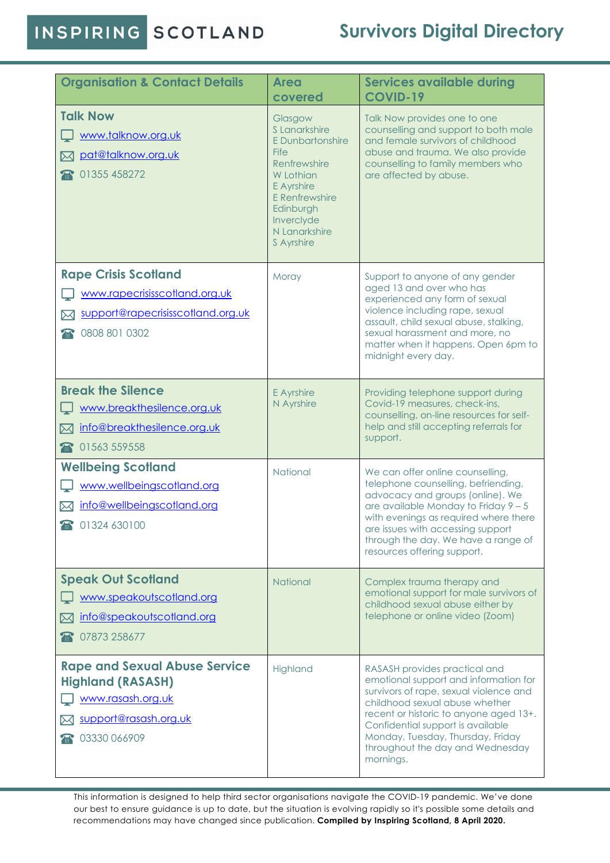INSPIRING SCOTLAND

## **Survivors Digital Directory**

| <b>Organisation &amp; Contact Details</b>                                                                                      | <b>Area</b><br>covered                                                                                                                                                              | <b>Services available during</b><br><b>COVID-19</b>                                                                                                                                                                                                                                                                     |
|--------------------------------------------------------------------------------------------------------------------------------|-------------------------------------------------------------------------------------------------------------------------------------------------------------------------------------|-------------------------------------------------------------------------------------------------------------------------------------------------------------------------------------------------------------------------------------------------------------------------------------------------------------------------|
| <b>Talk Now</b><br>www.talknow.org.uk<br>pat@talknow.org.uk<br>$\bowtie$<br>01355 458272                                       | Glasgow<br>S I anarkshire<br>E Dunbartonshire<br><b>Fife</b><br>Renfrewshire<br>W Lothian<br>E Ayrshire<br>E Renfrewshire<br>Edinburgh<br>Inverclyde<br>N Lanarkshire<br>S Ayrshire | Talk Now provides one to one<br>counselling and support to both male<br>and female survivors of childhood<br>abuse and trauma. We also provide<br>counselling to family members who<br>are affected by abuse.                                                                                                           |
| <b>Rape Crisis Scotland</b><br>www.rapecrisisscotland.org.uk<br>support@rapecrisisscotland.org.uk<br>⋈<br>0808 801 0302        | Moray                                                                                                                                                                               | Support to anyone of any gender<br>aged 13 and over who has<br>experienced any form of sexual<br>violence including rape, sexual<br>assault, child sexual abuse, stalking,<br>sexual harassment and more, no<br>matter when it happens. Open 6pm to<br>midnight every day.                                              |
| <b>Break the Silence</b><br>www.breakthesilence.org.uk<br>info@breakthesilence.org.uk<br>⊠<br>01563 559558<br>$\mathbf{F}$     | E Ayrshire<br>N Ayrshire                                                                                                                                                            | Providing telephone support during<br>Covid-19 measures, check-ins,<br>counselling, on-line resources for self-<br>help and still accepting referrals for<br>support.                                                                                                                                                   |
| <b>Wellbeing Scotland</b><br>www.wellbeingscotland.org<br>info@wellbeingscotland.org<br>⋈<br>1324 630100                       | National                                                                                                                                                                            | We can offer online counselling,<br>telephone counselling, befriending,<br>advocacy and groups (online). We<br>are available Monday to Friday $9 - 5$<br>with evenings as required where there<br>are issues with accessing support<br>through the day. We have a range of<br>resources offering support.               |
| <b>Speak Out Scotland</b><br>www.speakoutscotland.org<br>info@speakoutscotland.org<br>ᢂ<br>07873 258677                        | National                                                                                                                                                                            | Complex trauma therapy and<br>emotional support for male survivors of<br>childhood sexual abuse either by<br>telephone or online video (Zoom)                                                                                                                                                                           |
| <b>Rape and Sexual Abuse Service</b><br><b>Highland (RASASH)</b><br>www.rasash.org.uk<br>support@rasash.org.uk<br>03330 066909 | Highland                                                                                                                                                                            | RASASH provides practical and<br>emotional support and information for<br>survivors of rape, sexual violence and<br>childhood sexual abuse whether<br>recent or historic to anyone aged 13+.<br>Confidential support is available<br>Monday, Tuesday, Thursday, Friday<br>throughout the day and Wednesday<br>mornings. |

This information is designed to help third sector organisations navigate the COVID-19 pandemic. We've done our best to ensure guidance is up to date, but the situation is evolving rapidly so it's possible some details and recommendations may have changed since publication. **Compiled by Inspiring Scotland, 8 April 2020.**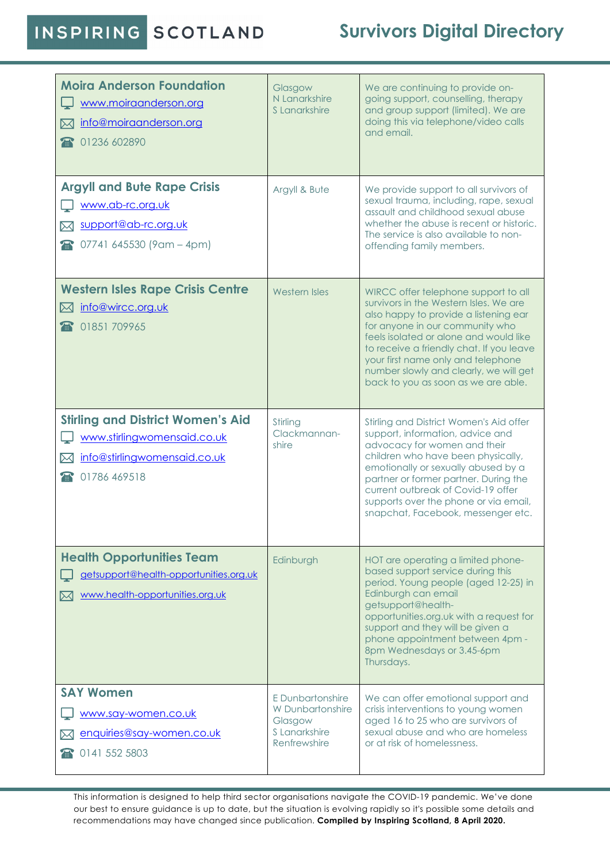## INSPIRING SCOTLAND

## **Survivors Digital Directory**

| <b>Moira Anderson Foundation</b><br>www.moiraanderson.org<br>info@moiraanderson.org<br>ᢂ<br>1236 602890                     | Glasgow<br>N Lanarkshire<br>S Lanarkshire                                        | We are continuing to provide on-<br>going support, counselling, therapy<br>and group support (limited). We are<br>doing this via telephone/video calls<br>and email.                                                                                                                                                                                                    |
|-----------------------------------------------------------------------------------------------------------------------------|----------------------------------------------------------------------------------|-------------------------------------------------------------------------------------------------------------------------------------------------------------------------------------------------------------------------------------------------------------------------------------------------------------------------------------------------------------------------|
| <b>Argyll and Bute Rape Crisis</b><br>www.ab-rc.org.uk<br>support@ab-rc.org.uk<br>$\circ$ 07741 645530 (9 am - 4 pm)        | Argyll & Bute                                                                    | We provide support to all survivors of<br>sexual trauma, including, rape, sexual<br>assault and childhood sexual abuse<br>whether the abuse is recent or historic.<br>The service is also available to non-<br>offending family members.                                                                                                                                |
| <b>Western Isles Rape Crisis Centre</b><br>info@wircc.org.uk<br>$\bowtie$<br>01851709965                                    | Western Isles                                                                    | WIRCC offer telephone support to all<br>survivors in the Western Isles. We are<br>also happy to provide a listening ear<br>for anyone in our community who<br>feels isolated or alone and would like<br>to receive a friendly chat. If you leave<br>your first name only and telephone<br>number slowly and clearly, we will get<br>back to you as soon as we are able. |
| <b>Stirling and District Women's Aid</b><br>www.stirlingwomensaid.co.uk<br>info@stirlingwomensaid.co.uk<br>ᢂ<br>1786 469518 | Stirling<br>Clackmannan-<br>shire                                                | Stirling and District Women's Aid offer<br>support, information, advice and<br>advocacy for women and their<br>children who have been physically,<br>emotionally or sexually abused by a<br>partner or former partner. During the<br>current outbreak of Covid-19 offer<br>supports over the phone or via email,<br>snapchat, Facebook, messenger etc.                  |
| <b>Health Opportunities Team</b><br>getsupport@health-opportunities.org.uk<br>www.health-opportunities.org.uk<br>ᢂ          | Edinburgh                                                                        | HOT are operating a limited phone-<br>based support service during this<br>period. Young people (aged 12-25) in<br>Edinburgh can email<br>getsupport@health-<br>opportunities.org.uk with a request for<br>support and they will be given a<br>phone appointment between 4pm -<br>8pm Wednesdays or 3.45-6pm<br>Thursdays.                                              |
| <b>SAY Women</b><br>www.say-women.co.uk<br>enquiries@say-women.co.uk<br>10141 552 5803                                      | E Dunbartonshire<br>W Dunbartonshire<br>Glasgow<br>S Lanarkshire<br>Renfrewshire | We can offer emotional support and<br>crisis interventions to young women<br>aged 16 to 25 who are survivors of<br>sexual abuse and who are homeless<br>or at risk of homelessness.                                                                                                                                                                                     |

This information is designed to help third sector organisations navigate the COVID-19 pandemic. We've done our best to ensure guidance is up to date, but the situation is evolving rapidly so it's possible some details and recommendations may have changed since publication. **Compiled by Inspiring Scotland, 8 April 2020.**